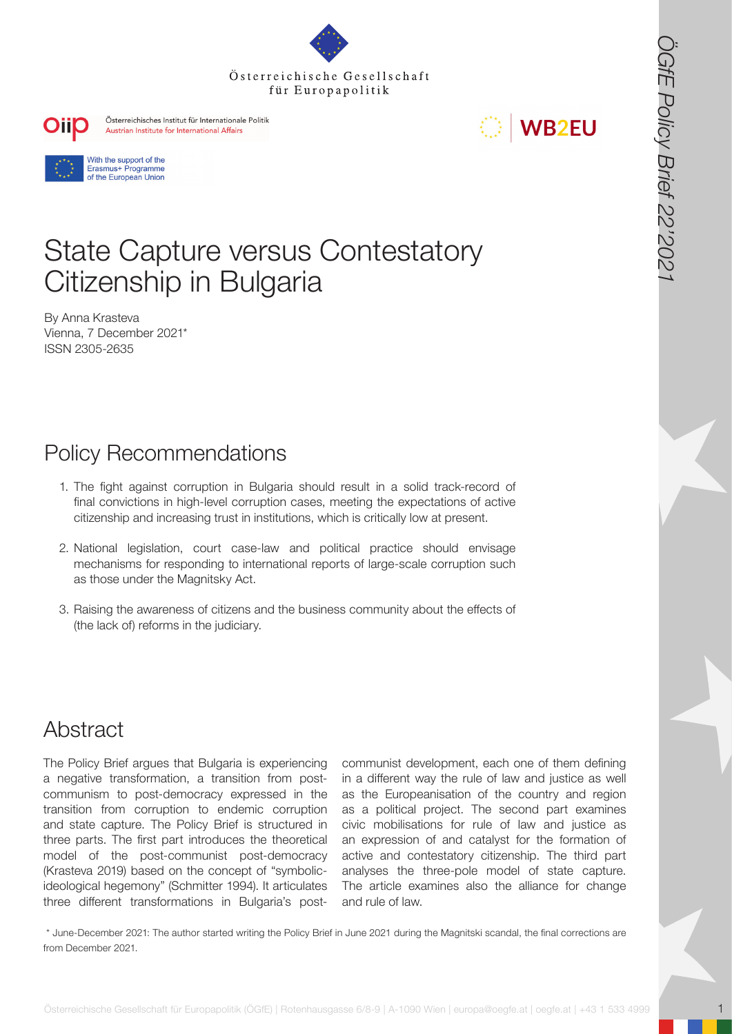



# State Capture versus Contestatory Citizenship in Bulgaria

By Anna Krasteva Vienna, 7 December 2021\* ISSN 2305-2635

# Policy Recommendations

- 1. The fight against corruption in Bulgaria should result in a solid track-record of final convictions in high-level corruption cases, meeting the expectations of active citizenship and increasing trust in institutions, which is critically low at present.
- 2. National legislation, court case-law and political practice should envisage mechanisms for responding to international reports of large-scale corruption such as those under the Magnitsky Act.
- 3. Raising the awareness of citizens and the business community about the effects of (the lack of) reforms in the judiciary.

## Abstract

The Policy Brief argues that Bulgaria is experiencing a negative transformation, a transition from postcommunism to post-democracy expressed in the transition from corruption to endemic corruption and state capture. The Policy Brief is structured in three parts. The first part introduces the theoretical model of the post-communist post-democracy (Krasteva 2019) based on the concept of "symbolicideological hegemony" (Schmitter 1994). It articulates three different transformations in Bulgaria's post-

**OSTERREIGHT FOR A CONSECTED A CONSECTED A CONSECTED A CONSECTED A CONSECTED AND CONSECTED A CONSECTED AND CONSECTED A CONSECTED A CONSECTED AND CONSECTED A CONSECTED AND CONSECTED A CONSECTED AND CONSECTED A CONSECTED AND** communist development, each one of them defining in a different way the rule of law and justice as well as the Europeanisation of the country and region as a political project. The second part examines civic mobilisations for rule of law and justice as an expression of and catalyst for the formation of active and contestatory citizenship. The third part analyses the three-pole model of state capture. The article examines also the alliance for change and rule of law.

 \* June-December 2021: The author started writing the Policy Brief in June 2021 during the Magnitski scandal, the final corrections are from December 2021.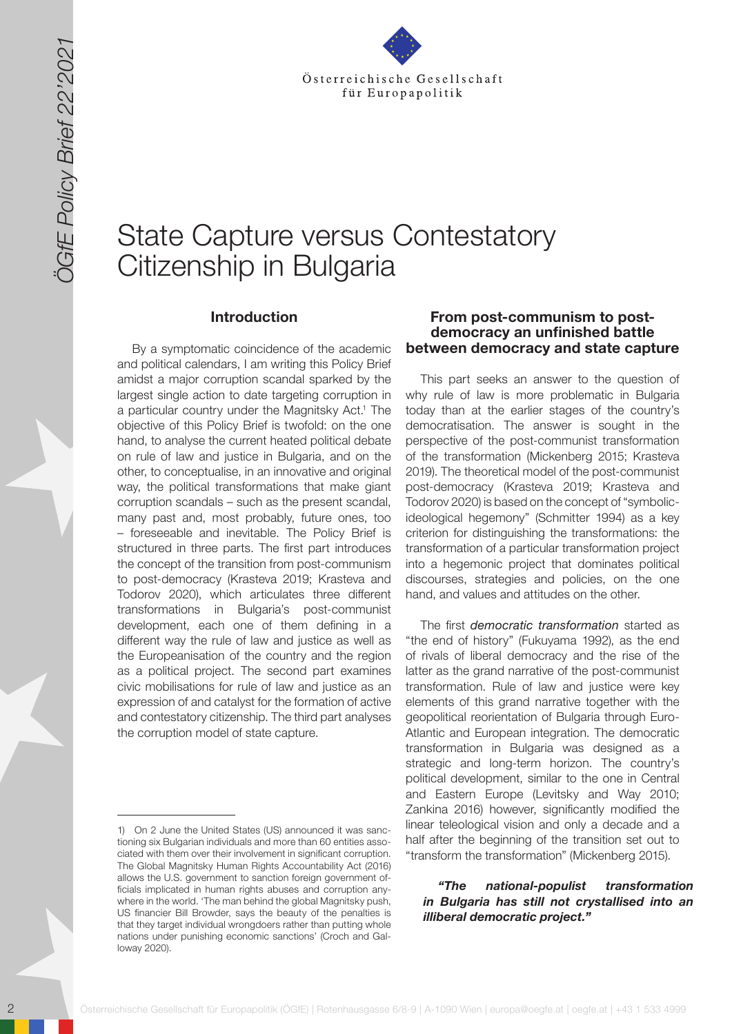

# State Capture versus Contestatory Citizenship in Bulgaria

#### **Introduction**

20 State Gesellschaft für Europapolitik (ÖGfe) | Rotenhausgasse 6/8-9 | A-1090 Wien | europapolitik (ÖGfe) | Rotenhausgasse 6/8-9 | A-1090 Wien | europapolitik (ÖGfe) | Rotenhausgasse 6/8-9 | A-1090 Wien | europapolitik (Ö By a symptomatic coincidence of the academic and political calendars, I am writing this Policy Brief amidst a major corruption scandal sparked by the largest single action to date targeting corruption in a particular country under the Magnitsky Act.<sup>1</sup> The objective of this Policy Brief is twofold: on the one hand, to analyse the current heated political debate on rule of law and justice in Bulgaria, and on the other, to conceptualise, in an innovative and original way, the political transformations that make giant corruption scandals – such as the present scandal, many past and, most probably, future ones, too – foreseeable and inevitable. The Policy Brief is structured in three parts. The first part introduces the concept of the transition from post-communism to post-democracy (Krasteva 2019; Krasteva and Todorov 2020), which articulates three different transformations in Bulgaria's post-communist development, each one of them defining in a different way the rule of law and justice as well as the Europeanisation of the country and the region as a political project. The second part examines civic mobilisations for rule of law and justice as an expression of and catalyst for the formation of active and contestatory citizenship. The third part analyses the corruption model of state capture.

## **From post-communism to postdemocracy an unfinished battle between democracy and state capture**

This part seeks an answer to the question of why rule of law is more problematic in Bulgaria today than at the earlier stages of the country's democratisation. The answer is sought in the perspective of the post-communist transformation of the transformation (Mickenberg 2015; Krasteva 2019). The theoretical model of the post-communist post-democracy (Krasteva 2019; Krasteva and Todorov 2020) is based on the concept of "symbolicideological hegemony" (Schmitter 1994) as a key criterion for distinguishing the transformations: the transformation of a particular transformation project into a hegemonic project that dominates political discourses, strategies and policies, on the one hand, and values and attitudes on the other.

The first *democratic transformation* started as "the end of history" (Fukuyama 1992), as the end of rivals of liberal democracy and the rise of the latter as the grand narrative of the post-communist transformation. Rule of law and justice were key elements of this grand narrative together with the geopolitical reorientation of Bulgaria through Euro-Atlantic and European integration. The democratic transformation in Bulgaria was designed as a strategic and long-term horizon. The country's political development, similar to the one in Central and Eastern Europe (Levitsky and Way 2010; Zankina 2016) however, significantly modified the linear teleological vision and only a decade and a half after the beginning of the transition set out to "transform the transformation" (Mickenberg 2015).

#### *"The national-populist transformation in Bulgaria has still not crystallised into an illiberal democratic project."*

<sup>1)</sup> On 2 June the United States (US) announced it was sanctioning six Bulgarian individuals and more than 60 entities associated with them over their involvement in significant corruption. The Global Magnitsky Human Rights Accountability Act (2016) allows the U.S. government to sanction foreign government officials implicated in human rights abuses and corruption anywhere in the world. 'The man behind the global Magnitsky push, US financier Bill Browder, says the beauty of the penalties is that they target individual wrongdoers rather than putting whole nations under punishing economic sanctions' (Croch and Galloway 2020).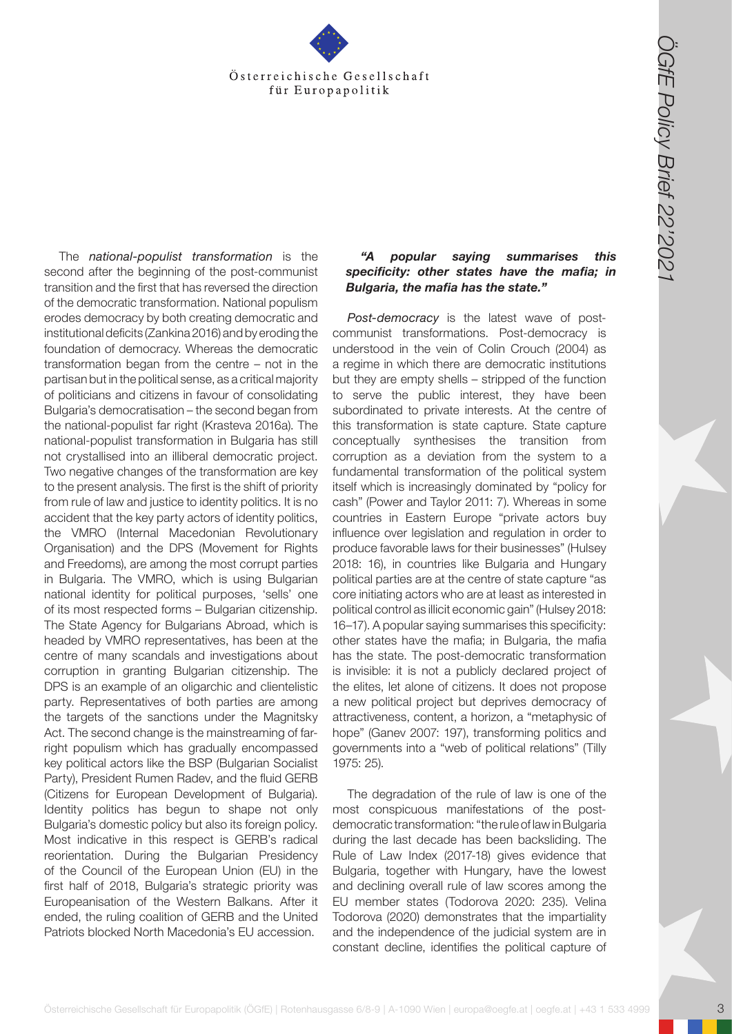

**Osterreichische Gesellschaft für Europapolitik (Conservation 19)**<br> **(In Europapolitik (Conservation 19)**<br> **(In Europapolitik (Conservation 19)**<br> **(In Europapolitik and the conservation 19)**<br> **Conservation 20)**<br> **Conserva** The *national-populist transformation* is the second after the beginning of the post-communist transition and the first that has reversed the direction of the democratic transformation. National populism erodes democracy by both creating democratic and institutional deficits (Zankina 2016) and by eroding the foundation of democracy. Whereas the democratic transformation began from the centre – not in the partisan but in the political sense, as a critical majority of politicians and citizens in favour of consolidating Bulgaria's democratisation – the second began from the national-populist far right (Krasteva 2016a). The national-populist transformation in Bulgaria has still not crystallised into an illiberal democratic project. Two negative changes of the transformation are key to the present analysis. The first is the shift of priority from rule of law and justice to identity politics. It is no accident that the key party actors of identity politics, the VMRO (Internal Macedonian Revolutionary Organisation) and the DPS (Movement for Rights and Freedoms), are among the most corrupt parties in Bulgaria. The VMRO, which is using Bulgarian national identity for political purposes, 'sells' one of its most respected forms – Bulgarian citizenship. The State Agency for Bulgarians Abroad, which is headed by VMRO representatives, has been at the centre of many scandals and investigations about corruption in granting Bulgarian citizenship. The DPS is an example of an oligarchic and clientelistic party. Representatives of both parties are among the targets of the sanctions under the Magnitsky Act. The second change is the mainstreaming of farright populism which has gradually encompassed key political actors like the BSP (Bulgarian Socialist Party), President Rumen Radev, and the fluid GERB (Citizens for European Development of Bulgaria). Identity politics has begun to shape not only Bulgaria's domestic policy but also its foreign policy. Most indicative in this respect is GERB's radical reorientation. During the Bulgarian Presidency of the Council of the European Union (EU) in the first half of 2018, Bulgaria's strategic priority was Europeanisation of the Western Balkans. After it ended, the ruling coalition of GERB and the United Patriots blocked North Macedonia's EU accession.

#### *"A popular saying summarises this specificity: other states have the mafia; in Bulgaria, the mafia has the state."*

*Post-democracy* is the latest wave of postcommunist transformations. Post-democracy is understood in the vein of Colin Crouch (2004) as a regime in which there are democratic institutions but they are empty shells – stripped of the function to serve the public interest, they have been subordinated to private interests. At the centre of this transformation is state capture. State capture conceptually synthesises the transition from corruption as a deviation from the system to a fundamental transformation of the political system itself which is increasingly dominated by "policy for cash" (Power and Taylor 2011: 7). Whereas in some countries in Eastern Europe "private actors buy influence over legislation and regulation in order to produce favorable laws for their businesses" (Hulsey 2018: 16), in countries like Bulgaria and Hungary political parties are at the centre of state capture "as core initiating actors who are at least as interested in political control as illicit economic gain" (Hulsey 2018: 16–17). A popular saying summarises this specificity: other states have the mafia; in Bulgaria, the mafia has the state. The post-democratic transformation is invisible: it is not a publicly declared project of the elites, let alone of citizens. It does not propose a new political project but deprives democracy of attractiveness, content, a horizon, a "metaphysic of hope" (Ganev 2007: 197), transforming politics and governments into a "web of political relations" (Tilly 1975: 25).

The degradation of the rule of law is one of the most conspicuous manifestations of the postdemocratic transformation: "the rule of law in Bulgaria during the last decade has been backsliding. The Rule of Law Index (2017-18) gives evidence that Bulgaria, together with Hungary, have the lowest and declining overall rule of law scores among the EU member states (Todorova 2020: 235). Velina Todorova (2020) demonstrates that the impartiality and the independence of the judicial system are in constant decline, identifies the political capture of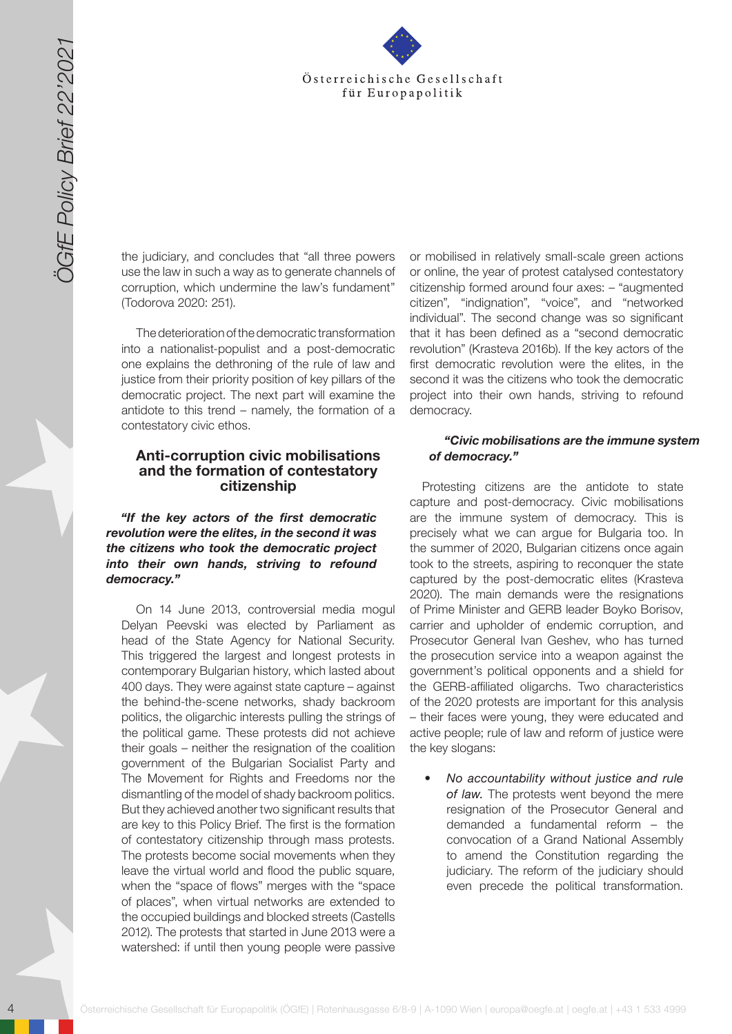

the judiciary, and concludes that "all three powers use the law in such a way as to generate channels of corruption, which undermine the law's fundament" (Todorova 2020: 251).

The deterioration of the democratic transformation into a nationalist-populist and a post-democratic one explains the dethroning of the rule of law and justice from their priority position of key pillars of the democratic project. The next part will examine the antidote to this trend – namely, the formation of a contestatory civic ethos.

### **Anti-corruption civic mobilisations and the formation of contestatory citizenship**

*"If the key actors of the first democratic revolution were the elites, in the second it was the citizens who took the democratic project into their own hands, striving to refound democracy."*

4 Osterreichische Gesellschaft für Europapolitik (ÖGfe) | Rotenhausgasse 6/8-9 | A-1090 Wien | europapolitik (ÖGfe) | Rotenhausgasse 6/8-9 | A-1090 Wien | europapolitik (ÖGfe) | A-1090 Wien | europapolitik (ÖGfe) | A-109 On 14 June 2013, controversial media mogul Delyan Peevski was elected by Parliament as head of the State Agency for National Security. This triggered the largest and longest protests in contemporary Bulgarian history, which lasted about 400 days. They were against state capture – against the behind-the-scene networks, shady backroom politics, the oligarchic interests pulling the strings of the political game. These protests did not achieve their goals – neither the resignation of the coalition government of the Bulgarian Socialist Party and The Movement for Rights and Freedoms nor the dismantling of the model of shady backroom politics. But they achieved another two significant results that are key to this Policy Brief. The first is the formation of contestatory citizenship through mass protests. The protests become social movements when they leave the virtual world and flood the public square, when the "space of flows" merges with the "space of places", when virtual networks are extended to the occupied buildings and blocked streets (Castells 2012). The protests that started in June 2013 were a watershed: if until then young people were passive

or mobilised in relatively small-scale green actions or online, the year of protest catalysed contestatory citizenship formed around four axes: – "augmented citizen", "indignation", "voice", and "networked individual". The second change was so significant that it has been defined as a "second democratic revolution" (Krasteva 2016b). If the key actors of the first democratic revolution were the elites, in the second it was the citizens who took the democratic project into their own hands, striving to refound democracy.

#### *"Civic mobilisations are the immune system of democracy."*

Protesting citizens are the antidote to state capture and post-democracy. Civic mobilisations are the immune system of democracy. This is precisely what we can argue for Bulgaria too. In the summer of 2020, Bulgarian citizens once again took to the streets, aspiring to reconquer the state captured by the post-democratic elites (Krasteva 2020). The main demands were the resignations of Prime Minister and GERB leader Boyko Borisov, carrier and upholder of endemic corruption, and Prosecutor General Ivan Geshev, who has turned the prosecution service into a weapon against the government's political opponents and a shield for the GERB-affiliated oligarchs. Two characteristics of the 2020 protests are important for this analysis – their faces were young, they were educated and active people; rule of law and reform of justice were the key slogans:

*• No accountability without justice and rule of law.* The protests went beyond the mere resignation of the Prosecutor General and demanded a fundamental reform – the convocation of a Grand National Assembly to amend the Constitution regarding the judiciary. The reform of the judiciary should even precede the political transformation.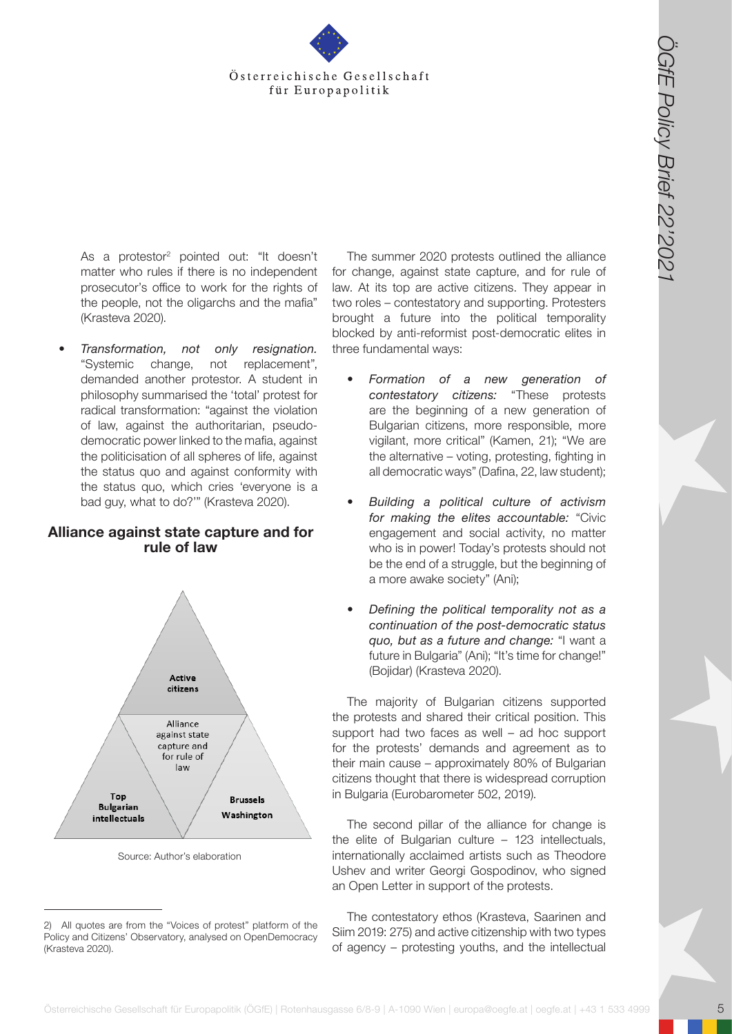

As a protestor<sup>2</sup> pointed out: "It doesn't matter who rules if there is no independent prosecutor's office to work for the rights of the people, not the oligarchs and the mafia" (Krasteva 2020).

*• Transformation, not only resignation.*  "Systemic change, not replacement", demanded another protestor. A student in philosophy summarised the 'total' protest for radical transformation: "against the violation of law, against the authoritarian, pseudodemocratic power linked to the mafia, against the politicisation of all spheres of life, against the status quo and against conformity with the status quo, which cries 'everyone is a bad guy, what to do?'" (Krasteva 2020).

### **Alliance against state capture and for rule of law**



Source: Author's elaboration

The summer 2020 protests outlined the alliance for change, against state capture, and for rule of law. At its top are active citizens. They appear in two roles – contestatory and supporting. Protesters brought a future into the political temporality blocked by anti-reformist post-democratic elites in three fundamental ways:

- *• Formation of a new generation of contestatory citizens:* "These protests are the beginning of a new generation of Bulgarian citizens, more responsible, more vigilant, more critical" (Kamen, 21); "We are the alternative – voting, protesting, fighting in all democratic ways" (Dafina, 22, law student);
- *• Building a political culture of activism for making the elites accountable:* "Civic engagement and social activity, no matter who is in power! Today's protests should not be the end of a struggle, but the beginning of a more awake society" (Ani);
- *• Defining the political temporality not as a continuation of the post-democratic status quo, but as a future and change:* "I want a future in Bulgaria" (Ani); "It's time for change!" (Bojidar) (Krasteva 2020).

The majority of Bulgarian citizens supported the protests and shared their critical position. This support had two faces as well – ad hoc support for the protests' demands and agreement as to their main cause – approximately 80% of Bulgarian citizens thought that there is widespread corruption in Bulgaria (Eurobarometer 502, 2019).

The second pillar of the alliance for change is the elite of Bulgarian culture – 123 intellectuals, internationally acclaimed artists such as Theodore Ushev and writer Georgi Gospodinov, who signed an Open Letter in support of the protests.

The contestatory ethos (Krasteva, Saarinen and Siim 2019: 275) and active citizenship with two types of agency – protesting youths, and the intellectual

<sup>2)</sup> All quotes are from the "Voices of protest" platform of the Policy and Citizens' Observatory, analysed on OpenDemocracy (Krasteva 2020).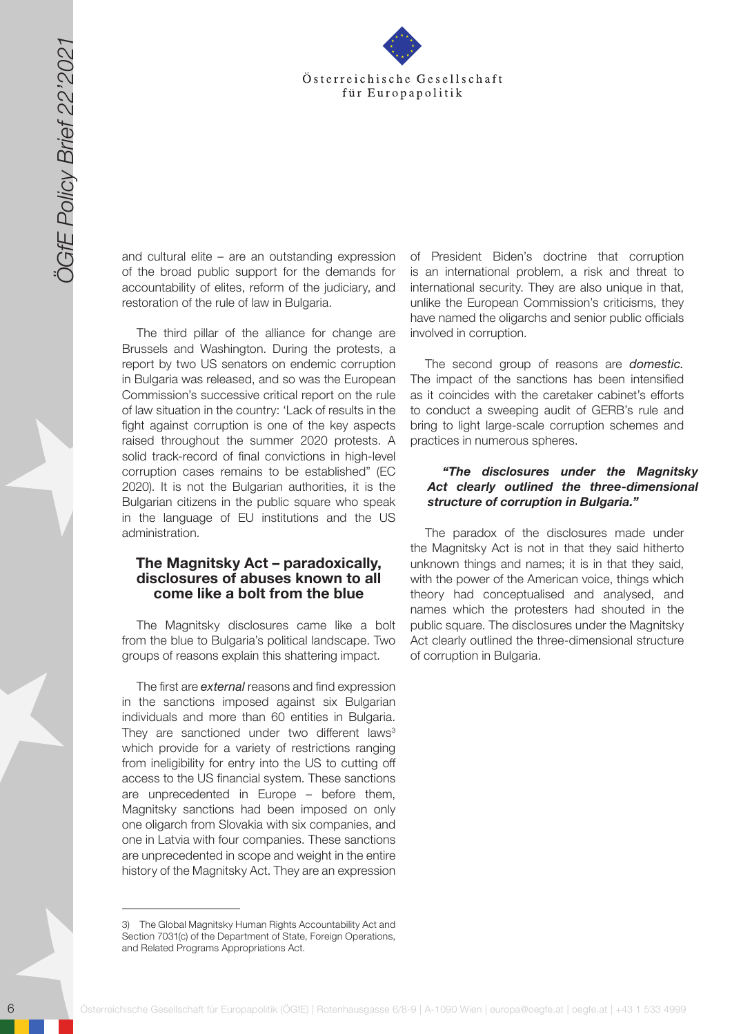

and cultural elite – are an outstanding expression of the broad public support for the demands for accountability of elites, reform of the judiciary, and restoration of the rule of law in Bulgaria.

6 Solution 1991 and the state Gesell schaff für Europapolitik (ÖGfe) | Rote Cesell schaff für Europapolitik (ÖGfe) | A-1090 Wien | A-1090 Wien | A-1090 Wien | europapolitik (ÖGfe) | A-1090 Wien | europapolitik (ÖGfe) | Ro The third pillar of the alliance for change are Brussels and Washington. During the protests, a report by two US senators on endemic corruption in Bulgaria was released, and so was the European Commission's successive critical report on the rule of law situation in the country: 'Lack of results in the fight against corruption is one of the key aspects raised throughout the summer 2020 protests. A solid track-record of final convictions in high-level corruption cases remains to be established" (EC 2020). It is not the Bulgarian authorities, it is the Bulgarian citizens in the public square who speak in the language of EU institutions and the US administration.

#### **The Magnitsky Act – paradoxically, disclosures of abuses known to all come like a bolt from the blue**

The Magnitsky disclosures came like a bolt from the blue to Bulgaria's political landscape. Two groups of reasons explain this shattering impact.

The first are *external* reasons and find expression in the sanctions imposed against six Bulgarian individuals and more than 60 entities in Bulgaria. They are sanctioned under two different laws<sup>3</sup> which provide for a variety of restrictions ranging from ineligibility for entry into the US to cutting off access to the US financial system. These sanctions are unprecedented in Europe – before them, Magnitsky sanctions had been imposed on only one oligarch from Slovakia with six companies, and one in Latvia with four companies. These sanctions are unprecedented in scope and weight in the entire history of the Magnitsky Act. They are an expression

of President Biden's doctrine that corruption is an international problem, a risk and threat to international security. They are also unique in that, unlike the European Commission's criticisms, they have named the oligarchs and senior public officials involved in corruption.

The second group of reasons are *domestic.*  The impact of the sanctions has been intensified as it coincides with the caretaker cabinet's efforts to conduct a sweeping audit of GERB's rule and bring to light large-scale corruption schemes and practices in numerous spheres.

#### *"The disclosures under the Magnitsky Act clearly outlined the three-dimensional structure of corruption in Bulgaria."*

The paradox of the disclosures made under the Magnitsky Act is not in that they said hitherto unknown things and names; it is in that they said, with the power of the American voice, things which theory had conceptualised and analysed, and names which the protesters had shouted in the public square. The disclosures under the Magnitsky Act clearly outlined the three-dimensional structure of corruption in Bulgaria.

<sup>3)</sup> The Global Magnitsky Human Rights Accountability Act and Section 7031(c) of the Department of State, Foreign Operations, and Related Programs Appropriations Act.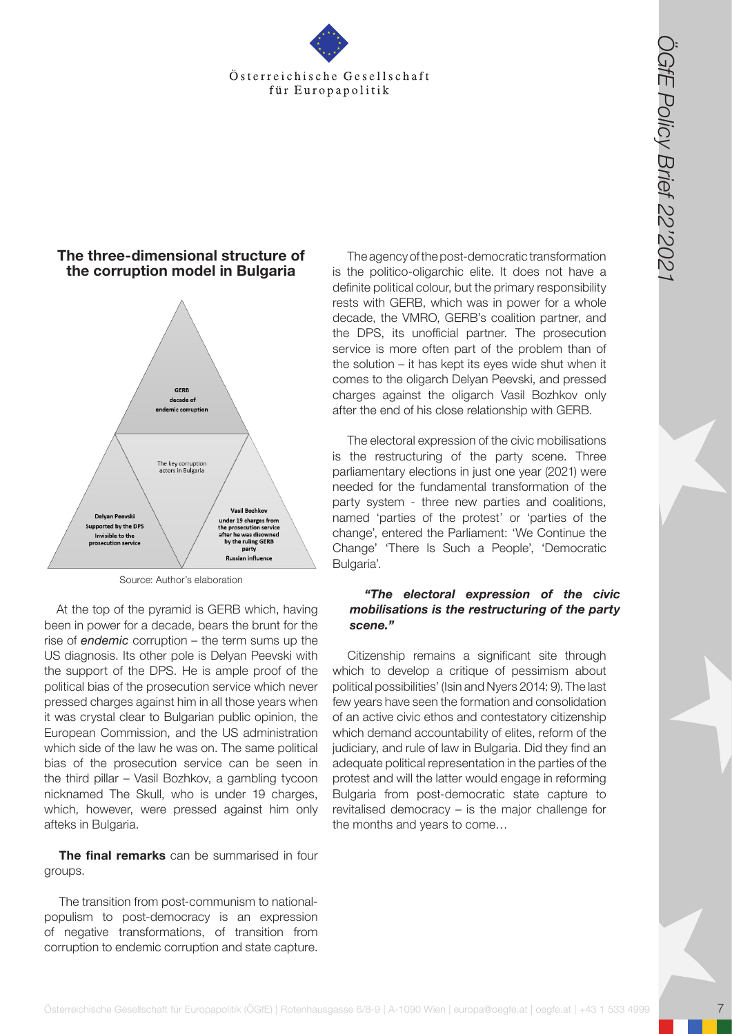

## **The three-dimensional structure of the corruption model in Bulgaria**



Source: Author's elaboration

At the top of the pyramid is GERB which, having been in power for a decade, bears the brunt for the rise of *endemic* corruption – the term sums up the US diagnosis. Its other pole is Delyan Peevski with the support of the DPS. He is ample proof of the political bias of the prosecution service which never pressed charges against him in all those years when it was crystal clear to Bulgarian public opinion, the European Commission, and the US administration which side of the law he was on. The same political bias of the prosecution service can be seen in the third pillar – Vasil Bozhkov, a gambling tycoon nicknamed The Skull, who is under 19 charges, which, however, were pressed against him only afteks in Bulgaria.

**The final remarks** can be summarised in four groups.

The transition from post-communism to nationalpopulism to post-democracy is an expression of negative transformations, of transition from corruption to endemic corruption and state capture.

The agency of the post-democratic transformation is the politico-oligarchic elite. It does not have a definite political colour, but the primary responsibility rests with GERB, which was in power for a whole decade, the VMRO, GERB's coalition partner, and the DPS, its unofficial partner. The prosecution service is more often part of the problem than of the solution – it has kept its eyes wide shut when it comes to the oligarch Delyan Peevski, and pressed charges against the oligarch Vasil Bozhkov only after the end of his close relationship with GERB.

The electoral expression of the civic mobilisations is the restructuring of the party scene. Three parliamentary elections in just one year (2021) were needed for the fundamental transformation of the party system - three new parties and coalitions, named 'parties of the protest' or 'parties of the change', entered the Parliament: 'We Continue the Change' 'There Is Such a People', 'Democratic Bulgaria'.

#### *"The electoral expression of the civic mobilisations is the restructuring of the party scene."*

Citizenship remains a significant site through which to develop a critique of pessimism about political possibilities' (Isin and Nyers 2014: 9). The last few years have seen the formation and consolidation of an active civic ethos and contestatory citizenship which demand accountability of elites, reform of the judiciary, and rule of law in Bulgaria. Did they find an adequate political representation in the parties of the protest and will the latter would engage in reforming Bulgaria from post-democratic state capture to revitalised democracy – is the major challenge for the months and years to come…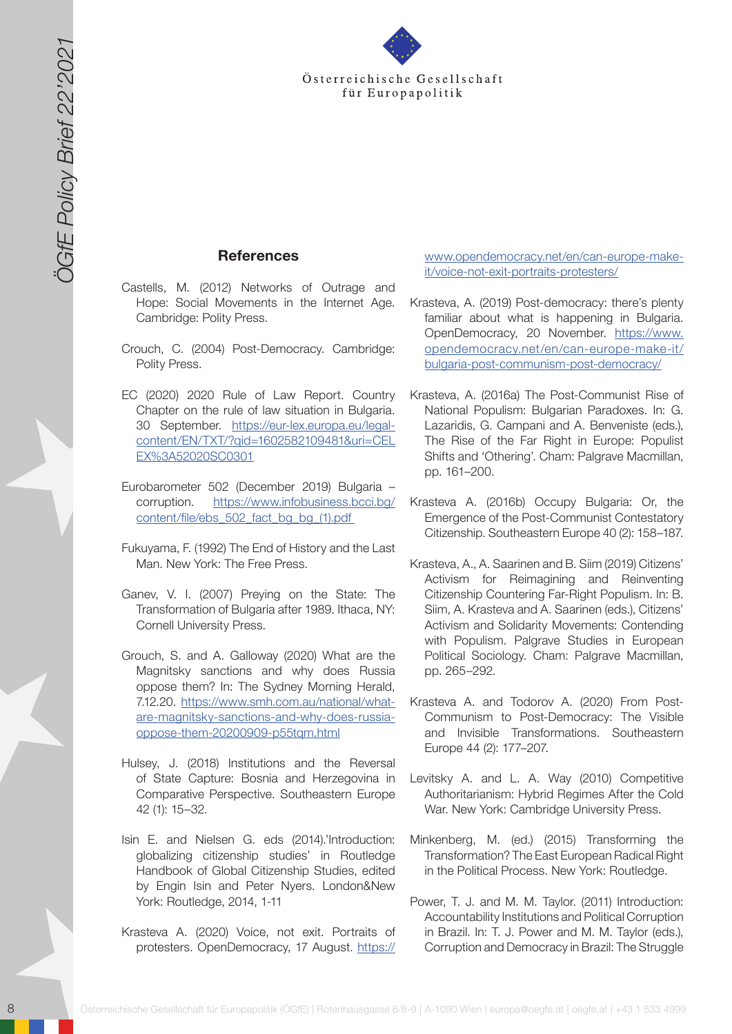

## **References**

- Castells, M. (2012) Networks of Outrage and Hope: Social Movements in the Internet Age. Cambridge: Polity Press.
- Crouch, C. (2004) Post-Democracy. Cambridge: Polity Press.
- EC (2020) 2020 Rule of Law Report. Country Chapter on the rule of law situation in Bulgaria. 30 September. [https://eur-lex.europa.eu/legal](https://eur-lex.europa.eu/legal-content/EN/TXT/?qid=1602582109481&uri=CELEX%3A52020SC0301)[content/EN/TXT/?qid=1602582109481&uri=CEL](https://eur-lex.europa.eu/legal-content/EN/TXT/?qid=1602582109481&uri=CELEX%3A52020SC0301) [EX%3A52020SC0301](https://eur-lex.europa.eu/legal-content/EN/TXT/?qid=1602582109481&uri=CELEX%3A52020SC0301)
- Eurobarometer 502 (December 2019) Bulgaria corruption. https://www.infobusiness.bcci.bg/ content/file/ebs\_502\_fact\_bg\_bg\_(1).pdf
- Fukuyama, F. (1992) The End of History and the Last Man. New York: The Free Press.
- Ganev, V. I. (2007) Preying on the State: The Transformation of Bulgaria after 1989. Ithaca, NY: Cornell University Press.
- Grouch, S. and A. Galloway (2020) What are the Magnitsky sanctions and why does Russia oppose them? In: The Sydney Morning Herald, 7.12.20. [https://www.smh.com.au/national/what](https://www.smh.com.au/national/what-are-magnitsky-sanctions-and-why-does-russia-oppose-them-20200909-p55tqm.html)[are-magnitsky-sanctions-and-why-does-russia](https://www.smh.com.au/national/what-are-magnitsky-sanctions-and-why-does-russia-oppose-them-20200909-p55tqm.html)[oppose-them-20200909-p55tqm.html](https://www.smh.com.au/national/what-are-magnitsky-sanctions-and-why-does-russia-oppose-them-20200909-p55tqm.html)
- Hulsey, J. (2018) Institutions and the Reversal of State Capture: Bosnia and Herzegovina in Comparative Perspective. Southeastern Europe 42 (1): 15–32.
- Isin E. and Nielsen G. eds (2014).'Introduction: globalizing citizenship studies' in Routledge Handbook of Global Citizenship Studies, edited by Engin Isin and Peter Nyers. London&New York: Routledge, 2014, 1-11
- Krasteva A. (2020) Voice, not exit. Portraits of protesters. OpenDemocracy, 17 August. [https://](https://www.opendemocracy.net/en/can-europe-make-it/voice-not-exit-portraits-protesters/)

[www.opendemocracy.net/en/can-europe-make](https://www.opendemocracy.net/en/can-europe-make-it/voice-not-exit-portraits-protesters/)[it/voice-not-exit-portraits-protesters/](https://www.opendemocracy.net/en/can-europe-make-it/voice-not-exit-portraits-protesters/)

- Krasteva, A. (2019) Post-democracy: there's plenty familiar about what is happening in Bulgaria. OpenDemocracy, 20 November. [https://www.](https://www.opendemocracy.net/en/can-europe-make-it/bulgaria-post-communism-post-democracy/) [opendemocracy.net/en/can-europe-make-it/](https://www.opendemocracy.net/en/can-europe-make-it/bulgaria-post-communism-post-democracy/) [bulgaria-post-communism-post-democracy/](https://www.opendemocracy.net/en/can-europe-make-it/bulgaria-post-communism-post-democracy/)
- Krasteva, A. (2016a) The Post-Communist Rise of National Populism: Bulgarian Paradoxes. In: G. Lazaridis, G. Campani and A. Benveniste (eds.), The Rise of the Far Right in Europe: Populist Shifts and 'Othering'. Cham: Palgrave Macmillan, pp. 161–200.
- Krasteva A. (2016b) Occupy Bulgaria: Or, the Emergence of the Post-Communist Contestatory Citizenship. Southeastern Europe 40 (2): 158–187.
- Exterior in the Gesell schaft für Europapolitische Gesell schaft für Europapolitische Gesell schaft für Europapolitische Gesell schaff für Europapolitische Gesell schaff für Europapolitische Gesell schaff für Europapolitis Krasteva, A., A. Saarinen and B. Siim (2019) Citizens' Activism for Reimagining and Reinventing Citizenship Countering Far-Right Populism. In: B. Siim, A. Krasteva and A. Saarinen (eds.), Citizens' Activism and Solidarity Movements: Contending with Populism. Palgrave Studies in European Political Sociology. Cham: Palgrave Macmillan, pp. 265–292.
	- Krasteva A. and Todorov A. (2020) From Post-Communism to Post-Democracy: The Visible and Invisible Transformations. Southeastern Europe 44 (2): 177–207.
	- Levitsky A. and L. A. Way (2010) Competitive Authoritarianism: Hybrid Regimes After the Cold War. New York: Cambridge University Press.
	- Minkenberg, M. (ed.) (2015) Transforming the Transformation? The East European Radical Right in the Political Process. New York: Routledge.
	- Power, T. J. and M. M. Taylor. (2011) Introduction: Accountability Institutions and Political Corruption in Brazil. In: T. J. Power and M. M. Taylor (eds.), Corruption and Democracy in Brazil: The Struggle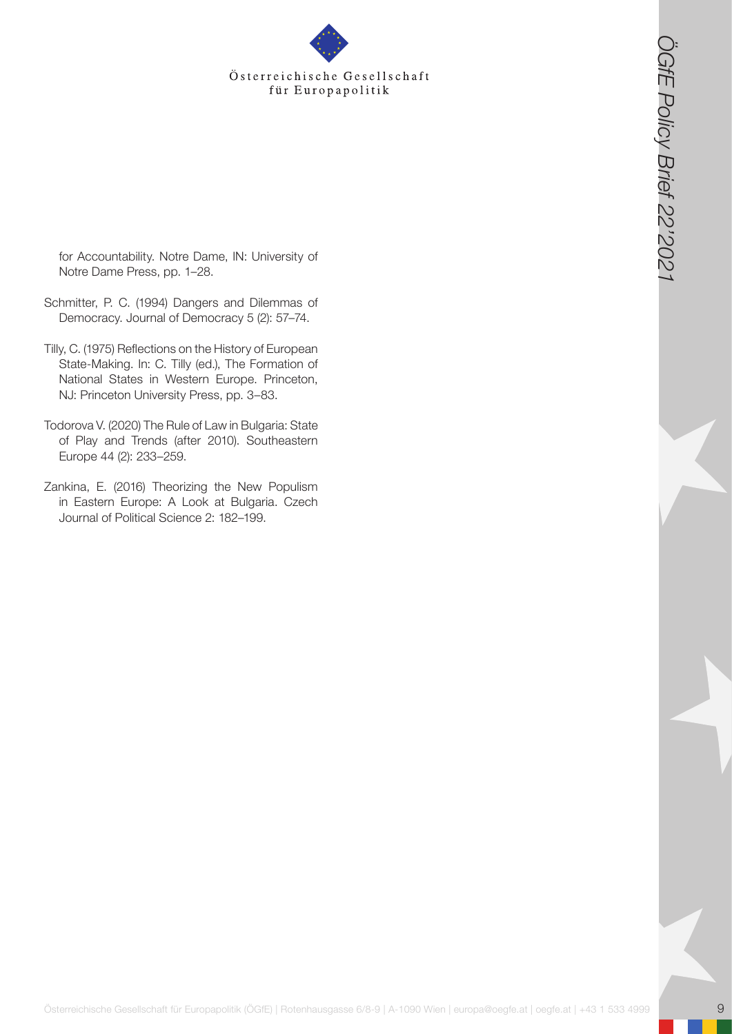for Accountability. Notre Dame, IN: University of Notre Dame Press, pp. 1–28.

- Schmitter, P. C. (1994) Dangers and Dilemmas of Democracy. Journal of Democracy 5 (2): 57–74.
- Österreichische Gesellschaft<br>
Ein Komputering Juden Henrich College, Pic University of<br>
Normalis Pro College Innocenties (College Policy Britannics)<br>
Constraints Pro College Innocenties (College Policy Britannics)<br>
Disco Tilly, C. (1975) Reflections on the History of European State-Making. In: C. Tilly (ed.), The Formation of National States in Western Europe. Princeton, NJ: Princeton University Press, pp. 3–83.
- Todorova V. (2020) The Rule of Law in Bulgaria: State of Play and Trends (after 2010). Southeastern Europe 44 (2): 233–259.
- Zankina, E. (2016) Theorizing the New Populism in Eastern Europe: A Look at Bulgaria. Czech Journal of Political Science 2: 182–199.